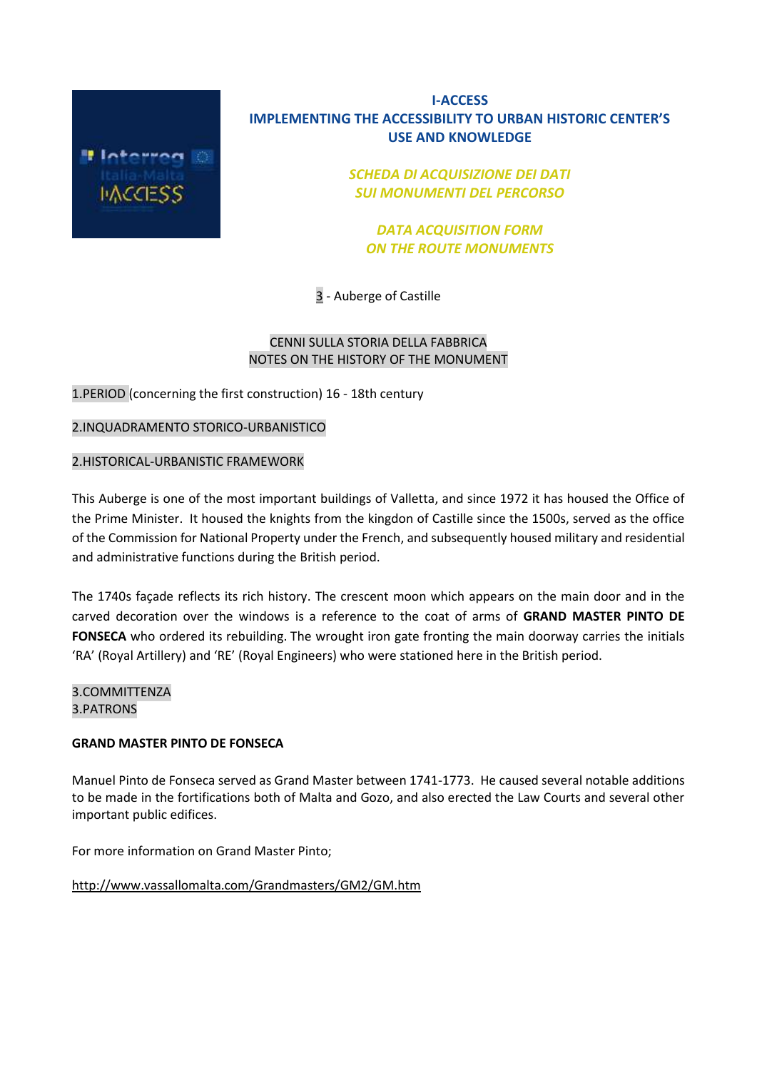

# **I-ACCESS IMPLEMENTING THE ACCESSIBILITY TO URBAN HISTORIC CENTER'S USE AND KNOWLEDGE**

*SCHEDA DI ACQUISIZIONE DEI DATI SUI MONUMENTI DEL PERCORSO*

*DATA ACQUISITION FORM ON THE ROUTE MONUMENTS*

3 - Auberge of Castille

## CENNI SULLA STORIA DELLA FABBRICA NOTES ON THE HISTORY OF THE MONUMENT

1.PERIOD (concerning the first construction) 16 - 18th century

2.INQUADRAMENTO STORICO-URBANISTICO

### 2.HISTORICAL-URBANISTIC FRAMEWORK

This Auberge is one of the most important buildings of Valletta, and since 1972 it has housed the Office of the Prime Minister. It housed the knights from the kingdon of Castille since the 1500s, served as the office of the Commission for National Property under the French, and subsequently housed military and residential and administrative functions during the British period.

The 1740s façade reflects its rich history. The crescent moon which appears on the main door and in the carved decoration over the windows is a reference to the coat of arms of **GRAND MASTER PINTO DE FONSECA** who ordered its rebuilding. The wrought iron gate fronting the main doorway carries the initials 'RA' (Royal Artillery) and 'RE' (Royal Engineers) who were stationed here in the British period.

3.COMMITTENZA 3.PATRONS

### **GRAND MASTER PINTO DE FONSECA**

Manuel Pinto de Fonseca served as Grand Master between 1741-1773. He caused several notable additions to be made in the fortifications both of Malta and Gozo, and also erected the Law Courts and several other important public edifices.

For more information on Grand Master Pinto;

### <http://www.vassallomalta.com/Grandmasters/GM2/GM.htm>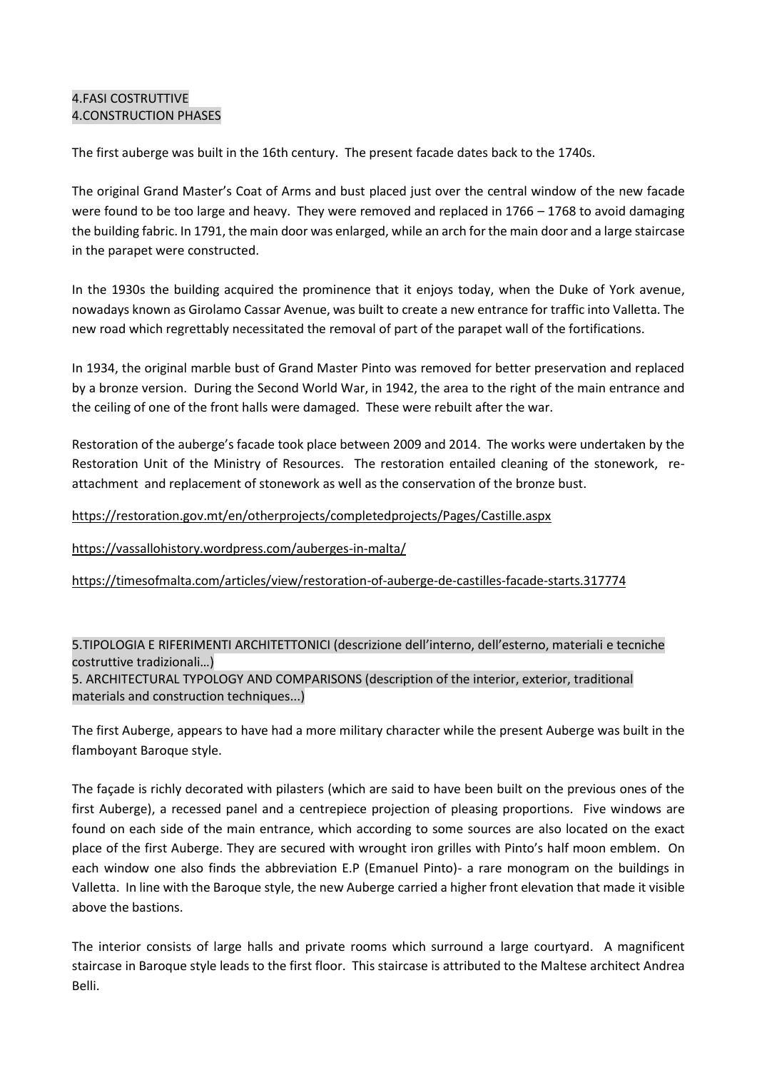### 4.FASI COSTRUTTIVE 4.CONSTRUCTION PHASES

The first auberge was built in the 16th century. The present facade dates back to the 1740s.

The original Grand Master's Coat of Arms and bust placed just over the central window of the new facade were found to be too large and heavy. They were removed and replaced in 1766 – 1768 to avoid damaging the building fabric. In 1791, the main door was enlarged, while an arch for the main door and a large staircase in the parapet were constructed.

In the 1930s the building acquired the prominence that it enjoys today, when the Duke of York avenue, nowadays known as Girolamo Cassar Avenue, was built to create a new entrance for traffic into Valletta. The new road which regrettably necessitated the removal of part of the parapet wall of the fortifications.

In 1934, the original marble bust of Grand Master Pinto was removed for better preservation and replaced by a bronze version. During the Second World War, in 1942, the area to the right of the main entrance and the ceiling of one of the front halls were damaged. These were rebuilt after the war.

Restoration of the auberge's facade took place between 2009 and 2014. The works were undertaken by the Restoration Unit of the Ministry of Resources. The restoration entailed cleaning of the stonework, reattachment and replacement of stonework as well as the conservation of the bronze bust.

## <https://restoration.gov.mt/en/otherprojects/completedprojects/Pages/Castille.aspx>

### <https://vassallohistory.wordpress.com/auberges-in-malta/>

### <https://timesofmalta.com/articles/view/restoration-of-auberge-de-castilles-facade-starts.317774>

5.TIPOLOGIA E RIFERIMENTI ARCHITETTONICI (descrizione dell'interno, dell'esterno, materiali e tecniche costruttive tradizionali…) 5. ARCHITECTURAL TYPOLOGY AND COMPARISONS (description of the interior, exterior, traditional materials and construction techniques...)

The first Auberge, appears to have had a more military character while the present Auberge was built in the flamboyant Baroque style.

The façade is richly decorated with pilasters (which are said to have been built on the previous ones of the first Auberge), a recessed panel and a centrepiece projection of pleasing proportions. Five windows are found on each side of the main entrance, which according to some sources are also located on the exact place of the first Auberge. They are secured with wrought iron grilles with Pinto's half moon emblem. On each window one also finds the abbreviation E.P (Emanuel Pinto)- a rare monogram on the buildings in Valletta. In line with the Baroque style, the new Auberge carried a higher front elevation that made it visible above the bastions.

The interior consists of large halls and private rooms which surround a large courtyard. A magnificent staircase in Baroque style leads to the first floor. This staircase is attributed to the Maltese architect Andrea Belli.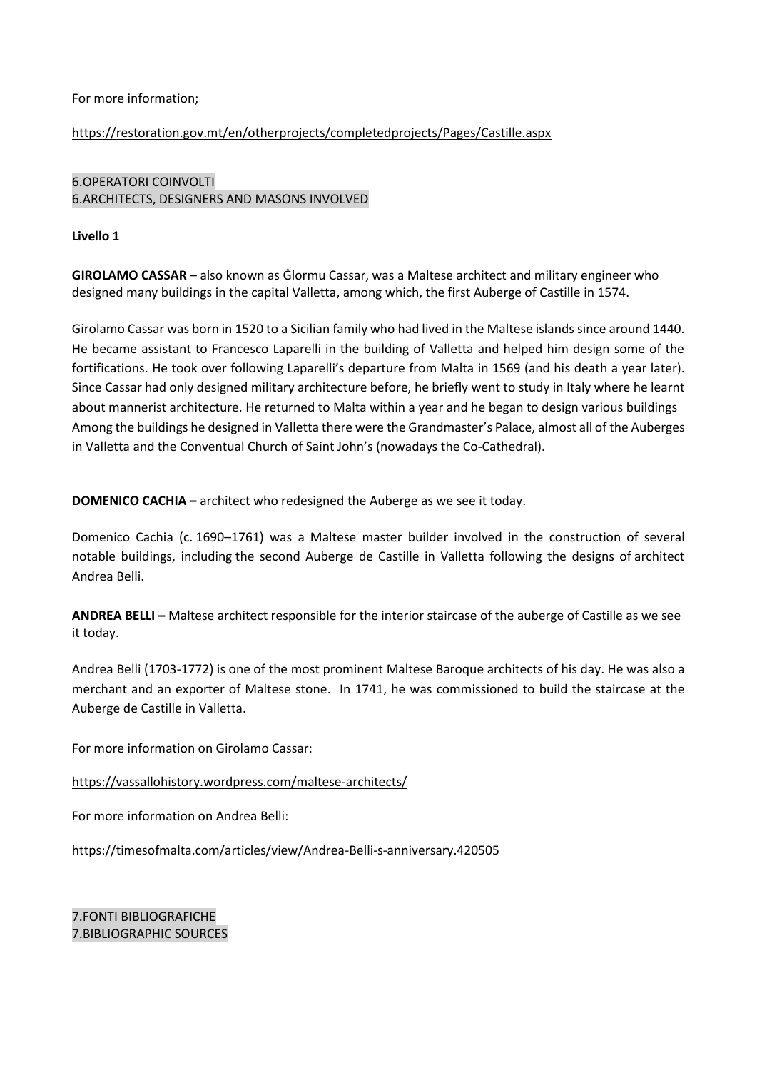### For more information;

### <https://restoration.gov.mt/en/otherprojects/completedprojects/Pages/Castille.aspx>

## 6.OPERATORI COINVOLTI 6.ARCHITECTS, DESIGNERS AND MASONS INVOLVED

### **Livello 1**

**GIROLAMO CASSAR** – also known as Ġlormu Cassar, was a Maltese architect and military engineer who designed many buildings in the capital Valletta, among which, the first Auberge of Castille in 1574.

Girolamo Cassar was born in 1520 to a Sicilian family who had lived in the Maltese islands since around 1440. He became assistant to Francesco Laparelli in the building of Valletta and helped him design some of the fortifications. He took over following Laparelli's departure from Malta in 1569 (and his death a year later). Since Cassar had only designed military architecture before, he briefly went to study in Italy where he learnt about mannerist architecture. He returned to Malta within a year and he began to design various buildings Among the buildings he designed in Valletta there were the Grandmaster's Palace, almost all of the Auberges in Valletta and the Conventual Church of Saint John's (nowadays the Co-Cathedral).

**DOMENICO CACHIA –** architect who redesigned the Auberge as we see it today.

Domenico Cachia (c. 1690–1761) was a Maltese master builder involved in the construction of several notable buildings, including the second Auberge de Castille in Valletta following the designs of architect Andrea Belli.

**ANDREA BELLI –** Maltese architect responsible for the interior staircase of the auberge of Castille as we see it today.

Andrea Belli (1703-1772) is one of the most prominent Maltese Baroque architects of his day. He was also a merchant and an exporter of Maltese stone. In 1741, he was commissioned to build the staircase at the Auberge de Castille in Valletta.

For more information on Girolamo Cassar:

<https://vassallohistory.wordpress.com/maltese-architects/>

For more information on Andrea Belli:

<https://timesofmalta.com/articles/view/Andrea-Belli-s-anniversary.420505>

7.FONTI BIBLIOGRAFICHE 7.BIBLIOGRAPHIC SOURCES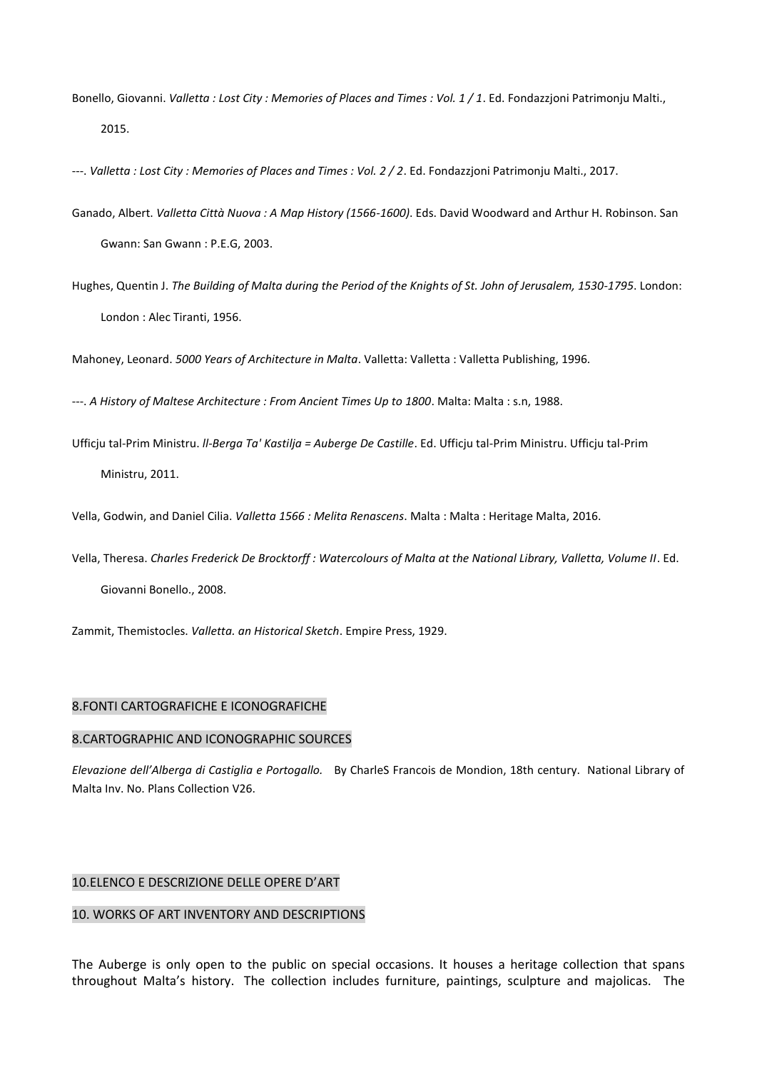Bonello, Giovanni. *Valletta : Lost City : Memories of Places and Times : Vol. 1 / 1*. Ed. Fondazzjoni Patrimonju Malti., 2015.

---. *Valletta : Lost City : Memories of Places and Times : Vol. 2 / 2*. Ed. Fondazzjoni Patrimonju Malti., 2017.

- Ganado, Albert. *Valletta Città Nuova : A Map History (1566-1600)*. Eds. David Woodward and Arthur H. Robinson. San Gwann: San Gwann : P.E.G, 2003.
- Hughes, Quentin J. *The Building of Malta during the Period of the Knights of St. John of Jerusalem, 1530-1795*. London: London : Alec Tiranti, 1956.

Mahoney, Leonard. *5000 Years of Architecture in Malta*. Valletta: Valletta : Valletta Publishing, 1996.

---. *A History of Maltese Architecture : From Ancient Times Up to 1800*. Malta: Malta : s.n, 1988.

Ufficju tal-Prim Ministru. *ll-Berga Ta' Kastilja = Auberge De Castille*. Ed. Ufficju tal-Prim Ministru. Ufficju tal-Prim Ministru, 2011.

Vella, Godwin, and Daniel Cilia. *Valletta 1566 : Melita Renascens*. Malta : Malta : Heritage Malta, 2016.

Vella, Theresa. *Charles Frederick De Brocktorff : Watercolours of Malta at the National Library, Valletta, Volume II*. Ed. Giovanni Bonello., 2008.

Zammit, Themistocles. *Valletta. an Historical Sketch*. Empire Press, 1929.

#### 8.FONTI CARTOGRAFICHE E ICONOGRAFICHE

#### 8.CARTOGRAPHIC AND ICONOGRAPHIC SOURCES

*Elevazione dell'Alberga di Castiglia e Portogallo.* By CharleS Francois de Mondion, 18th century. National Library of Malta Inv. No. Plans Collection V26.

### 10.ELENCO E DESCRIZIONE DELLE OPERE D'ART

#### 10. WORKS OF ART INVENTORY AND DESCRIPTIONS

The Auberge is only open to the public on special occasions. It houses a heritage collection that spans throughout Malta's history. The collection includes furniture, paintings, sculpture and majolicas. The